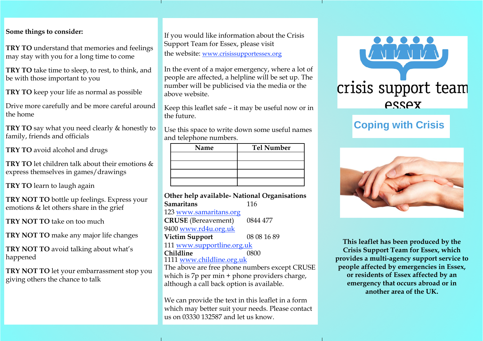#### **Some things to consider:**

**TRY TO** understand that memories and feelings may stay with you for a long time to come

**TRY TO** take time to sleep, to rest, to think, and be with those important to you

**TRY TO** keep your life as normal as possible

Drive more carefully and be more careful around the home

**TRY TO** say what you need clearly & honestly to family, friends and officials

**TRY TO** avoid alcohol and drugs

**TRY TO** let children talk about their emotions & express themselves in games/drawings

**TRY TO** learn to laugh again

**TRY NOT TO** bottle up feelings. Express your emotions & let others share in the grief

**TRY NOT TO** take on too much

**TRY NOT TO** make any major life changes

**TRY NOT TO** avoid talking about what's happened

**TRY NOT TO** let your embarrassment stop you giving others the chance to talk

If you would like information about the Crisis Support Team for Essex, please visit the website: [www.crisissupportessex.org](http://www.crisissupportessex.org/)

In the event of a major emergency, where a lot of people are affected, a helpline will be set up. The number will be publicised via the media or the above website.

Keep this leaflet safe – it may be useful now or in the future.

Use this space to write down some useful names and telephone numbers.

| Name | <b>Tel Number</b> |
|------|-------------------|
|      |                   |
|      |                   |
|      |                   |
|      |                   |

**Other help available- National Organisations Samaritans** 116 123 [www.samaritans.org](http://www.samaritans.org/) **CRUSE** (Bereavement) 0844 477 9400 [www.rd4u.org.uk](http://www.rd4u.org.uk/) **Victim Support** 08 08 16 89 111 [www.supportline.org.uk](http://www.supportline.org.uk/) **Childline** 0800 1111 [www.childline.org.uk](http://www.childline.org.uk/) The above are free phone numbers except CRUSE which is 7p per min + phone providers charge, although a call back option is available.

We can provide the text in this leaflet in a form which may better suit your needs. Please contact us on 03330 132587 and let us know.



# **Coping with Crisis**



**This leaflet has been produced by the Crisis Support Team for Essex, which provides a multi-agency support service to people affected by emergencies in Essex, or residents of Essex affected by an emergency that occurs abroad or in another area of the UK.**